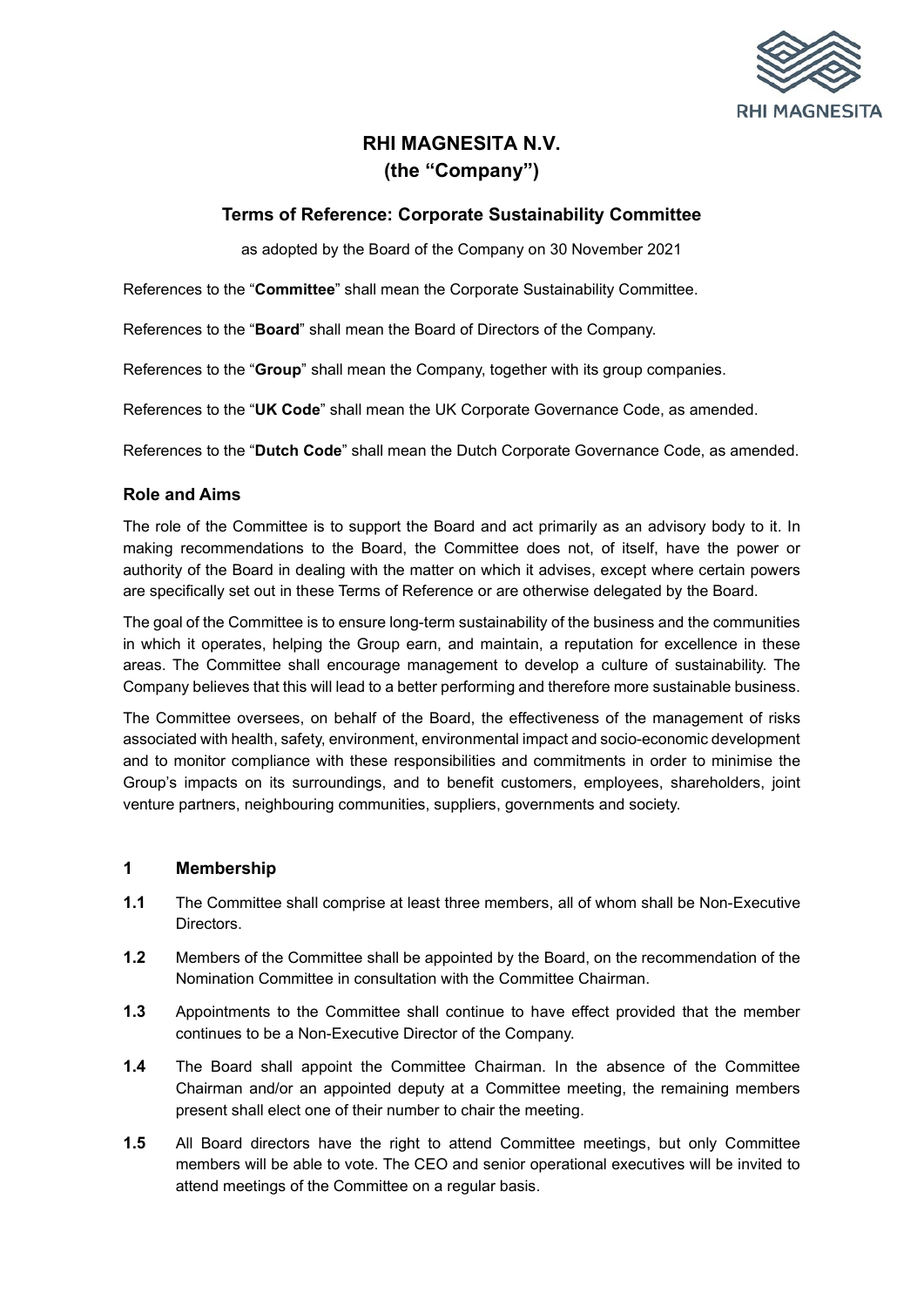

# **RHI MAGNESITA N.V. (the "Company")**

# **Terms of Reference: Corporate Sustainability Committee**

as adopted by the Board of the Company on 30 November 2021

References to the "**Committee**" shall mean the Corporate Sustainability Committee.

References to the "**Board**" shall mean the Board of Directors of the Company.

References to the "**Group**" shall mean the Company, together with its group companies.

References to the "**UK Code**" shall mean the UK Corporate Governance Code, as amended.

References to the "**Dutch Code**" shall mean the Dutch Corporate Governance Code, as amended.

#### **Role and Aims**

The role of the Committee is to support the Board and act primarily as an advisory body to it. In making recommendations to the Board, the Committee does not, of itself, have the power or authority of the Board in dealing with the matter on which it advises, except where certain powers are specifically set out in these Terms of Reference or are otherwise delegated by the Board.

The goal of the Committee is to ensure long-term sustainability of the business and the communities in which it operates, helping the Group earn, and maintain, a reputation for excellence in these areas. The Committee shall encourage management to develop a culture of sustainability. The Company believes that this will lead to a better performing and therefore more sustainable business.

The Committee oversees, on behalf of the Board, the effectiveness of the management of risks associated with health, safety, environment, environmental impact and socio-economic development and to monitor compliance with these responsibilities and commitments in order to minimise the Group's impacts on its surroundings, and to benefit customers, employees, shareholders, joint venture partners, neighbouring communities, suppliers, governments and society.

#### **1 Membership**

- **1.1** The Committee shall comprise at least three members, all of whom shall be Non-Executive Directors.
- **1.2** Members of the Committee shall be appointed by the Board, on the recommendation of the Nomination Committee in consultation with the Committee Chairman.
- **1.3** Appointments to the Committee shall continue to have effect provided that the member continues to be a Non-Executive Director of the Company.
- **1.4** The Board shall appoint the Committee Chairman. In the absence of the Committee Chairman and/or an appointed deputy at a Committee meeting, the remaining members present shall elect one of their number to chair the meeting.
- **1.5** All Board directors have the right to attend Committee meetings, but only Committee members will be able to vote. The CEO and senior operational executives will be invited to attend meetings of the Committee on a regular basis.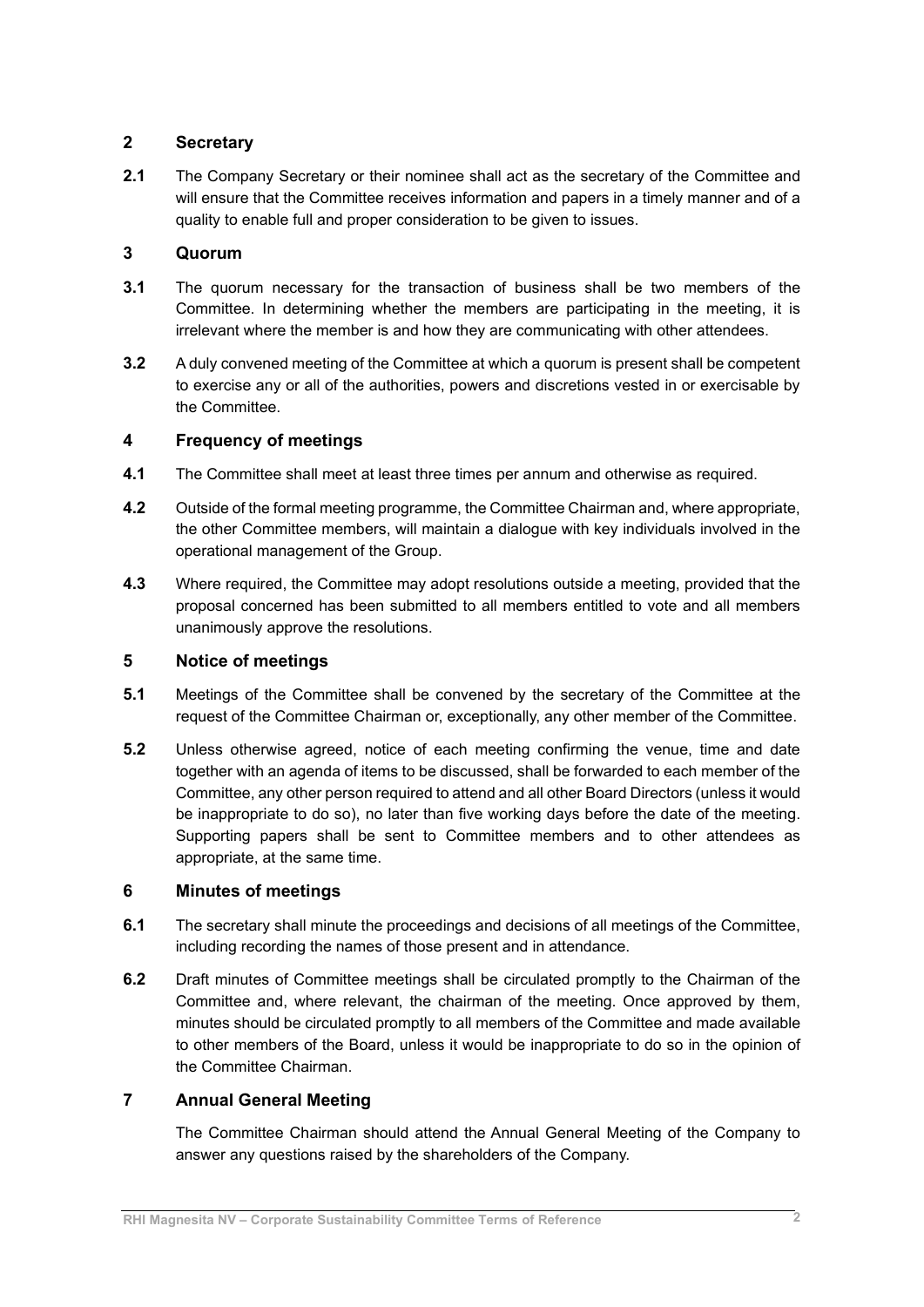# **2 Secretary**

**2.1** The Company Secretary or their nominee shall act as the secretary of the Committee and will ensure that the Committee receives information and papers in a timely manner and of a quality to enable full and proper consideration to be given to issues.

## **3 Quorum**

- **3.1** The quorum necessary for the transaction of business shall be two members of the Committee. In determining whether the members are participating in the meeting, it is irrelevant where the member is and how they are communicating with other attendees.
- **3.2** A duly convened meeting of the Committee at which a quorum is present shall be competent to exercise any or all of the authorities, powers and discretions vested in or exercisable by the Committee.

## **4 Frequency of meetings**

- **4.1** The Committee shall meet at least three times per annum and otherwise as required.
- **4.2** Outside of the formal meeting programme, the Committee Chairman and, where appropriate, the other Committee members, will maintain a dialogue with key individuals involved in the operational management of the Group.
- **4.3** Where required, the Committee may adopt resolutions outside a meeting, provided that the proposal concerned has been submitted to all members entitled to vote and all members unanimously approve the resolutions.

## **5 Notice of meetings**

- **5.1** Meetings of the Committee shall be convened by the secretary of the Committee at the request of the Committee Chairman or, exceptionally, any other member of the Committee.
- **5.2** Unless otherwise agreed, notice of each meeting confirming the venue, time and date together with an agenda of items to be discussed, shall be forwarded to each member of the Committee, any other person required to attend and all other Board Directors (unless it would be inappropriate to do so), no later than five working days before the date of the meeting. Supporting papers shall be sent to Committee members and to other attendees as appropriate, at the same time.

## **6 Minutes of meetings**

- **6.1** The secretary shall minute the proceedings and decisions of all meetings of the Committee, including recording the names of those present and in attendance.
- **6.2** Draft minutes of Committee meetings shall be circulated promptly to the Chairman of the Committee and, where relevant, the chairman of the meeting. Once approved by them, minutes should be circulated promptly to all members of the Committee and made available to other members of the Board, unless it would be inappropriate to do so in the opinion of the Committee Chairman.

# **7 Annual General Meeting**

The Committee Chairman should attend the Annual General Meeting of the Company to answer any questions raised by the shareholders of the Company.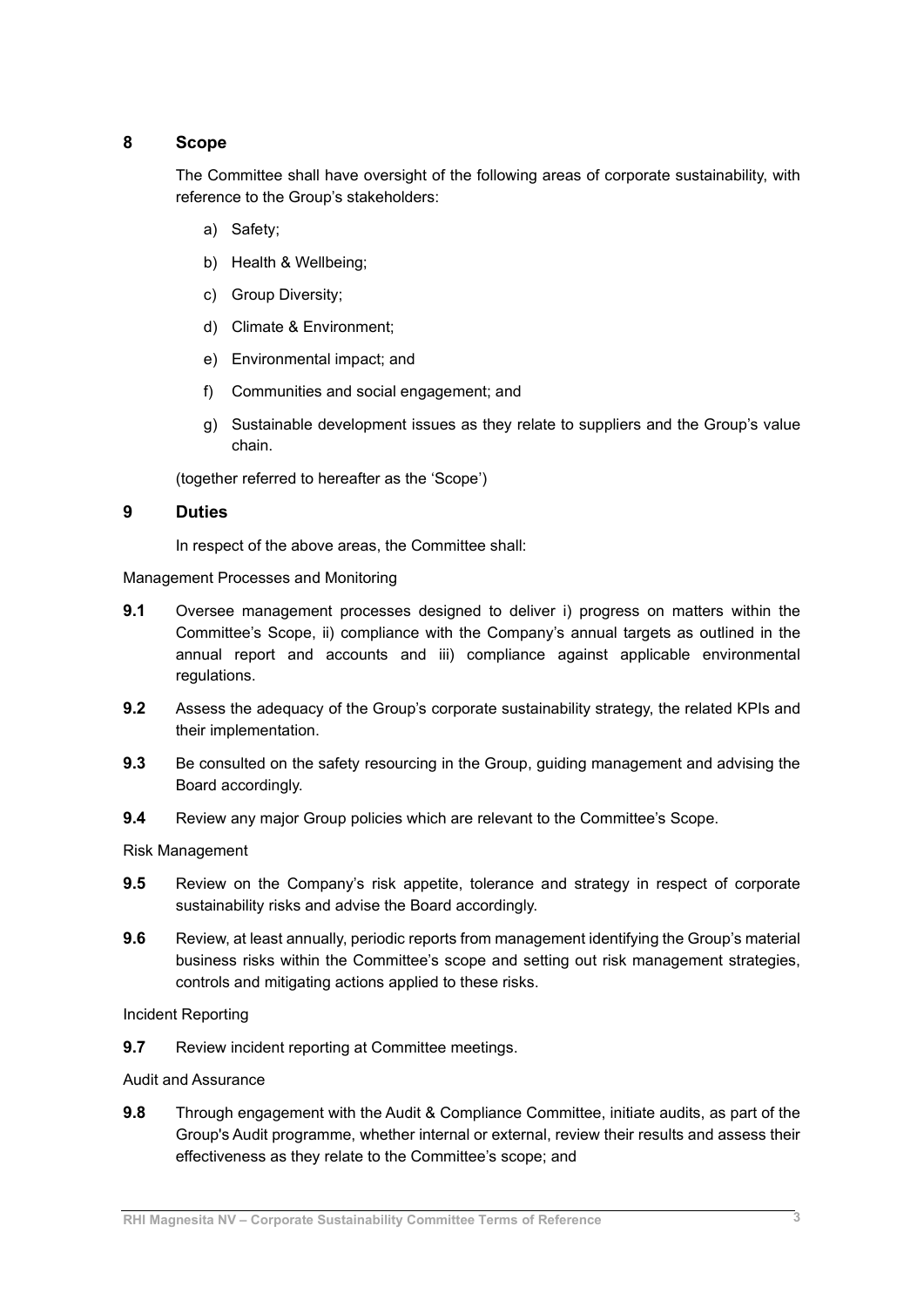## **8 Scope**

The Committee shall have oversight of the following areas of corporate sustainability, with reference to the Group's stakeholders:

- a) Safety;
- b) Health & Wellbeing;
- c) Group Diversity;
- d) Climate & Environment;
- e) Environmental impact; and
- f) Communities and social engagement; and
- g) Sustainable development issues as they relate to suppliers and the Group's value chain.

(together referred to hereafter as the 'Scope')

#### **9 Duties**

In respect of the above areas, the Committee shall:

Management Processes and Monitoring

- **9.1** Oversee management processes designed to deliver i) progress on matters within the Committee's Scope, ii) compliance with the Company's annual targets as outlined in the annual report and accounts and iii) compliance against applicable environmental regulations.
- **9.2** Assess the adequacy of the Group's corporate sustainability strategy, the related KPIs and their implementation.
- **9.3** Be consulted on the safety resourcing in the Group, guiding management and advising the Board accordingly.
- **9.4** Review any major Group policies which are relevant to the Committee's Scope.

Risk Management

- **9.5** Review on the Company's risk appetite, tolerance and strategy in respect of corporate sustainability risks and advise the Board accordingly.
- **9.6** Review, at least annually, periodic reports from management identifying the Group's material business risks within the Committee's scope and setting out risk management strategies, controls and mitigating actions applied to these risks.

Incident Reporting

**9.7** Review incident reporting at Committee meetings.

Audit and Assurance

**9.8** Through engagement with the Audit & Compliance Committee, initiate audits, as part of the Group's Audit programme, whether internal or external, review their results and assess their effectiveness as they relate to the Committee's scope; and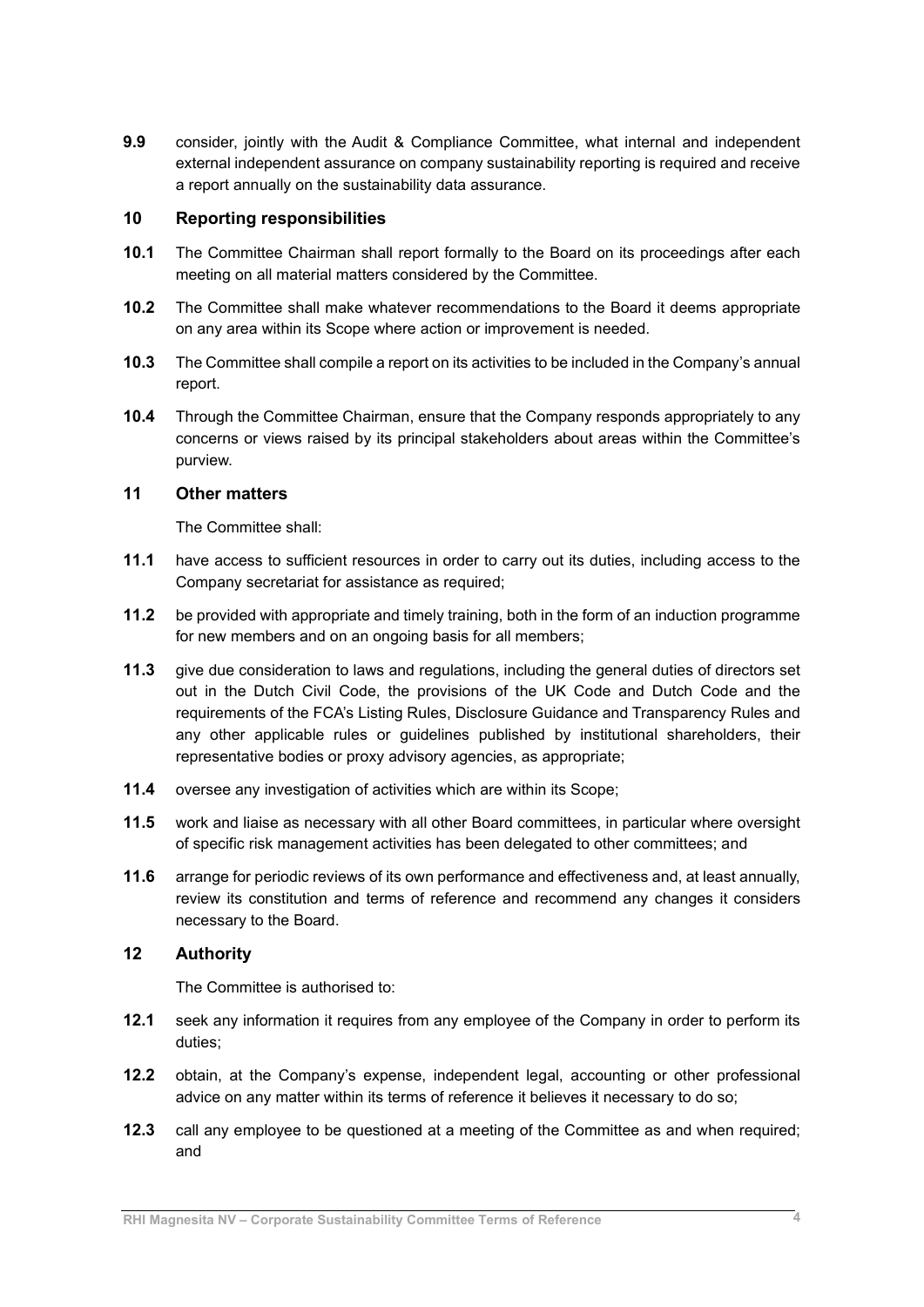**9.9** consider, jointly with the Audit & Compliance Committee, what internal and independent external independent assurance on company sustainability reporting is required and receive a report annually on the sustainability data assurance.

#### **10 Reporting responsibilities**

- **10.1** The Committee Chairman shall report formally to the Board on its proceedings after each meeting on all material matters considered by the Committee.
- **10.2** The Committee shall make whatever recommendations to the Board it deems appropriate on any area within its Scope where action or improvement is needed.
- **10.3** The Committee shall compile a report on its activities to be included in the Company's annual report.
- **10.4** Through the Committee Chairman, ensure that the Company responds appropriately to any concerns or views raised by its principal stakeholders about areas within the Committee's purview.

## **11 Other matters**

The Committee shall:

- **11.1** have access to sufficient resources in order to carry out its duties, including access to the Company secretariat for assistance as required;
- **11.2** be provided with appropriate and timely training, both in the form of an induction programme for new members and on an ongoing basis for all members;
- **11.3** give due consideration to laws and regulations, including the general duties of directors set out in the Dutch Civil Code, the provisions of the UK Code and Dutch Code and the requirements of the FCA's Listing Rules, Disclosure Guidance and Transparency Rules and any other applicable rules or guidelines published by institutional shareholders, their representative bodies or proxy advisory agencies, as appropriate;
- **11.4** oversee any investigation of activities which are within its Scope;
- **11.5** work and liaise as necessary with all other Board committees, in particular where oversight of specific risk management activities has been delegated to other committees; and
- **11.6** arrange for periodic reviews of its own performance and effectiveness and, at least annually, review its constitution and terms of reference and recommend any changes it considers necessary to the Board.

## **12 Authority**

The Committee is authorised to:

- **12.1** seek any information it requires from any employee of the Company in order to perform its duties;
- **12.2** obtain, at the Company's expense, independent legal, accounting or other professional advice on any matter within its terms of reference it believes it necessary to do so;
- **12.3** call any employee to be questioned at a meeting of the Committee as and when required; and